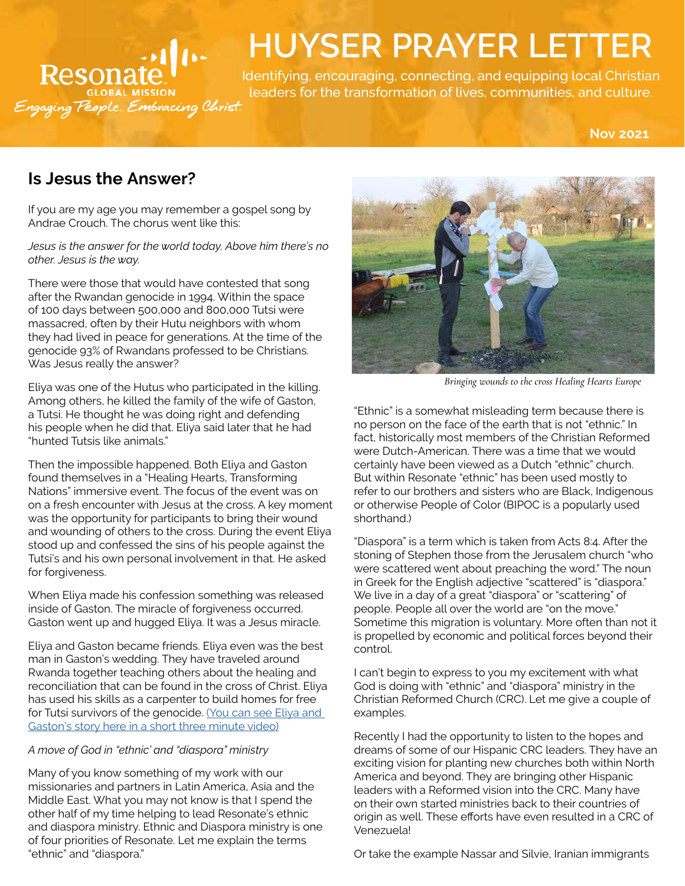

# **HUYSER PRAYER LETTER**

Identifying, encouraging, connecting, and equipping local Christian leaders for the transformation of lives, communities, and culture.

**Nov 2021**

# **Is Jesus the Answer?**

If you are my age you may remember a gospel song by Andrae Crouch. The chorus went like this:

*Jesus is the answer for the world today. Above him there's no other. Jesus is the way.*

There were those that would have contested that song after the Rwandan genocide in 1994. Within the space of 100 days between 500,000 and 800,000 Tutsi were massacred, often by their Hutu neighbors with whom they had lived in peace for generations. At the time of the genocide 93% of Rwandans professed to be Christians. Was Jesus really the answer?

Eliya was one of the Hutus who participated in the killing. Among others, he killed the family of the wife of Gaston, a Tutsi. He thought he was doing right and defending his people when he did that. Eliya said later that he had "hunted Tutsis like animals."

Then the impossible happened. Both Eliya and Gaston found themselves in a "Healing Hearts, Transforming Nations" immersive event. The focus of the event was on on a fresh encounter with Jesus at the cross. A key moment was the opportunity for participants to bring their wound and wounding of others to the cross. During the event Eliya stood up and confessed the sins of his people against the Tutsi's and his own personal involvement in that. He asked for forgiveness.

When Eliya made his confession something was released inside of Gaston. The miracle of forgiveness occurred. Gaston went up and hugged Eliya. It was a Jesus miracle.

Eliya and Gaston became friends. Eliya even was the best man in Gaston's wedding. They have traveled around Rwanda together teaching others about the healing and reconciliation that can be found in the cross of Christ. Eliya has used his skills as a carpenter to build homes for free for Tutsi survivors of the genocide. (You can see Eliya and [Gaston's story here in a short three minute video\)](https://drive.google.com/file/d/1wDLbYM1hzTFDSCuXa41xOJGMNlVpPYlK/view?usp=sharing)

## *A move of God in "ethnic' and "diaspora" ministry*

Many of you know something of my work with our missionaries and partners in Latin America, Asia and the Middle East. What you may not know is that I spend the other half of my time helping to lead Resonate's ethnic and diaspora ministry. Ethnic and Diaspora ministry is one of four priorities of Resonate. Let me explain the terms "ethnic" and "diaspora."



*Bringing wounds to the cross Healing Hearts Europe*

"Ethnic" is a somewhat misleading term because there is no person on the face of the earth that is not "ethnic." In fact, historically most members of the Christian Reformed were Dutch-American. There was a time that we would certainly have been viewed as a Dutch "ethnic" church. But within Resonate "ethnic" has been used mostly to refer to our brothers and sisters who are Black, Indigenous or otherwise People of Color (BIPOC is a popularly used shorthand)

"Diaspora" is a term which is taken from Acts 8:4. After the stoning of Stephen those from the Jerusalem church "who were scattered went about preaching the word." The noun in Greek for the English adjective "scattered" is "diaspora." We live in a day of a great "diaspora" or "scattering" of people. People all over the world are "on the move." Sometime this migration is voluntary. More often than not it is propelled by economic and political forces beyond their control.

I can't begin to express to you my excitement with what God is doing with "ethnic" and "diaspora" ministry in the Christian Reformed Church (CRC). Let me give a couple of examples.

Recently I had the opportunity to listen to the hopes and dreams of some of our Hispanic CRC leaders. They have an exciting vision for planting new churches both within North America and beyond. They are bringing other Hispanic leaders with a Reformed vision into the CRC. Many have on their own started ministries back to their countries of origin as well. These efforts have even resulted in a CRC of Venezuela!

Or take the example Nassar and Silvie, Iranian immigrants